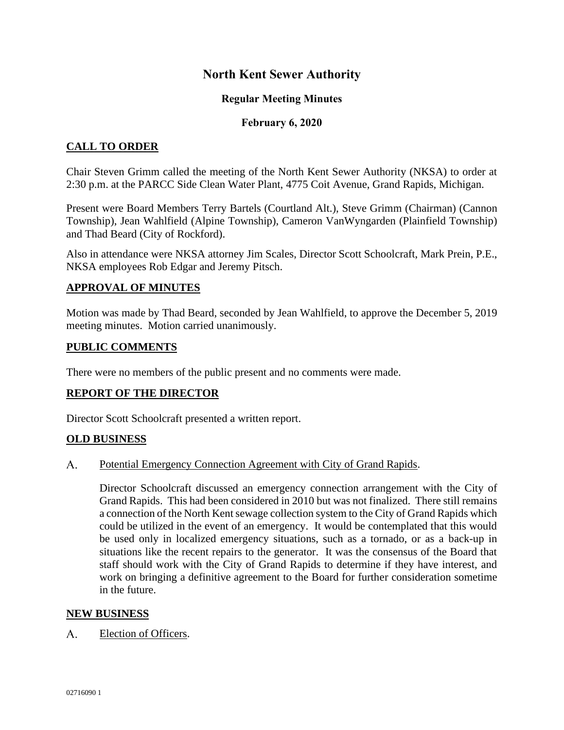# **North Kent Sewer Authority**

## **Regular Meeting Minutes**

### **February 6, 2020**

# **CALL TO ORDER**

Chair Steven Grimm called the meeting of the North Kent Sewer Authority (NKSA) to order at 2:30 p.m. at the PARCC Side Clean Water Plant, 4775 Coit Avenue, Grand Rapids, Michigan.

Present were Board Members Terry Bartels (Courtland Alt.), Steve Grimm (Chairman) (Cannon Township), Jean Wahlfield (Alpine Township), Cameron VanWyngarden (Plainfield Township) and Thad Beard (City of Rockford).

Also in attendance were NKSA attorney Jim Scales, Director Scott Schoolcraft, Mark Prein, P.E., NKSA employees Rob Edgar and Jeremy Pitsch.

### **APPROVAL OF MINUTES**

Motion was made by Thad Beard, seconded by Jean Wahlfield, to approve the December 5, 2019 meeting minutes. Motion carried unanimously.

#### **PUBLIC COMMENTS**

There were no members of the public present and no comments were made.

### **REPORT OF THE DIRECTOR**

Director Scott Schoolcraft presented a written report.

### **OLD BUSINESS**

#### $A_{\cdot}$ Potential Emergency Connection Agreement with City of Grand Rapids.

Director Schoolcraft discussed an emergency connection arrangement with the City of Grand Rapids. This had been considered in 2010 but was not finalized. There still remains a connection of the North Kent sewage collection system to the City of Grand Rapids which could be utilized in the event of an emergency. It would be contemplated that this would be used only in localized emergency situations, such as a tornado, or as a back-up in situations like the recent repairs to the generator. It was the consensus of the Board that staff should work with the City of Grand Rapids to determine if they have interest, and work on bringing a definitive agreement to the Board for further consideration sometime in the future.

#### **NEW BUSINESS**

 $A_{1}$ Election of Officers.